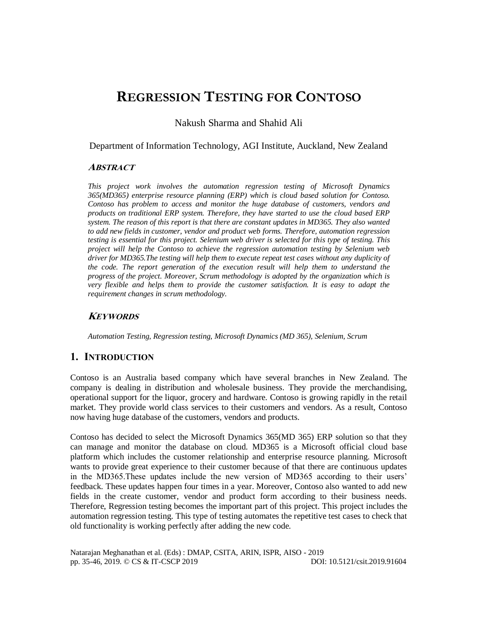# **REGRESSION TESTING FOR CONTOSO**

Nakush Sharma and Shahid Ali

Department of Information Technology, AGI Institute, Auckland, New Zealand

### **ABSTRACT**

*This project work involves the automation regression testing of Microsoft Dynamics 365(MD365) enterprise resource planning (ERP) which is cloud based solution for Contoso. Contoso has problem to access and monitor the huge database of customers, vendors and products on traditional ERP system. Therefore, they have started to use the cloud based ERP system. The reason of this report is that there are constant updates in MD365. They also wanted to add new fields in customer, vendor and product web forms. Therefore, automation regression testing is essential for this project. Selenium web driver is selected for this type of testing. This project will help the Contoso to achieve the regression automation testing by Selenium web driver for MD365.The testing will help them to execute repeat test cases without any duplicity of the code. The report generation of the execution result will help them to understand the progress of the project. Moreover, Scrum methodology is adopted by the organization which is very flexible and helps them to provide the customer satisfaction. It is easy to adapt the requirement changes in scrum methodology.*

# **KEYWORDS**

*Automation Testing, Regression testing, Microsoft Dynamics (MD 365), Selenium, Scrum*

# **1. INTRODUCTION**

Contoso is an Australia based company which have several branches in New Zealand. The company is dealing in distribution and wholesale business. They provide the merchandising, operational support for the liquor, grocery and hardware. Contoso is growing rapidly in the retail market. They provide world class services to their customers and vendors. As a result, Contoso now having huge database of the customers, vendors and products.

Contoso has decided to select the Microsoft Dynamics 365(MD 365) ERP solution so that they can manage and monitor the database on cloud. MD365 is a Microsoft official cloud base platform which includes the customer relationship and enterprise resource planning. Microsoft wants to provide great experience to their customer because of that there are continuous updates in the MD365.These updates include the new version of MD365 according to their users' feedback. These updates happen four times in a year. Moreover, Contoso also wanted to add new fields in the create customer, vendor and product form according to their business needs. Therefore, Regression testing becomes the important part of this project. This project includes the automation regression testing. This type of testing automates the repetitive test cases to check that old functionality is working perfectly after adding the new code.

Natarajan Meghanathan et al. (Eds) : DMAP, CSITA, ARIN, ISPR, AISO - 2019 pp. 35-46, 2019. © CS & IT-CSCP 2019 DOI: 10.5121/csit.2019.91604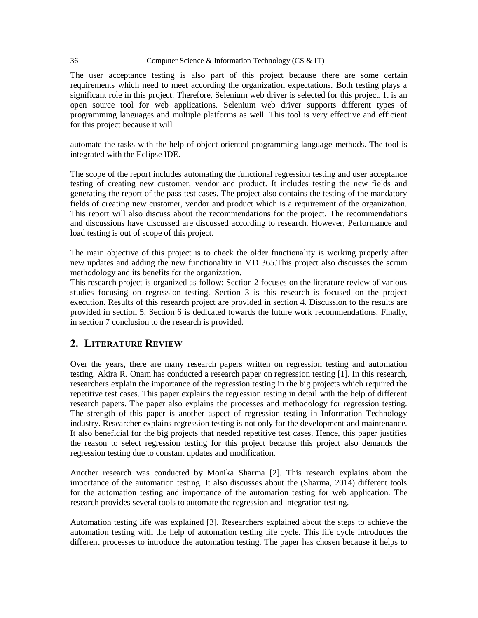#### 36 Computer Science & Information Technology (CS & IT)

The user acceptance testing is also part of this project because there are some certain requirements which need to meet according the organization expectations. Both testing plays a significant role in this project. Therefore, Selenium web driver is selected for this project. It is an open source tool for web applications. Selenium web driver supports different types of programming languages and multiple platforms as well. This tool is very effective and efficient for this project because it will

automate the tasks with the help of object oriented programming language methods. The tool is integrated with the Eclipse IDE.

The scope of the report includes automating the functional regression testing and user acceptance testing of creating new customer, vendor and product. It includes testing the new fields and generating the report of the pass test cases. The project also contains the testing of the mandatory fields of creating new customer, vendor and product which is a requirement of the organization. This report will also discuss about the recommendations for the project. The recommendations and discussions have discussed are discussed according to research. However, Performance and load testing is out of scope of this project.

The main objective of this project is to check the older functionality is working properly after new updates and adding the new functionality in MD 365.This project also discusses the scrum methodology and its benefits for the organization.

This research project is organized as follow: Section 2 focuses on the literature review of various studies focusing on regression testing. Section 3 is this research is focused on the project execution. Results of this research project are provided in section 4. Discussion to the results are provided in section 5. Section 6 is dedicated towards the future work recommendations. Finally, in section 7 conclusion to the research is provided.

# **2. LITERATURE REVIEW**

Over the years, there are many research papers written on regression testing and automation testing. Akira R. Onam has conducted a research paper on regression testing [1]. In this research, researchers explain the importance of the regression testing in the big projects which required the repetitive test cases. This paper explains the regression testing in detail with the help of different research papers. The paper also explains the processes and methodology for regression testing. The strength of this paper is another aspect of regression testing in Information Technology industry. Researcher explains regression testing is not only for the development and maintenance. It also beneficial for the big projects that needed repetitive test cases. Hence, this paper justifies the reason to select regression testing for this project because this project also demands the regression testing due to constant updates and modification.

Another research was conducted by Monika Sharma [2]. This research explains about the importance of the automation testing. It also discusses about the (Sharma, 2014) different tools for the automation testing and importance of the automation testing for web application. The research provides several tools to automate the regression and integration testing.

Automation testing life was explained [3]. Researchers explained about the steps to achieve the automation testing with the help of automation testing life cycle. This life cycle introduces the different processes to introduce the automation testing. The paper has chosen because it helps to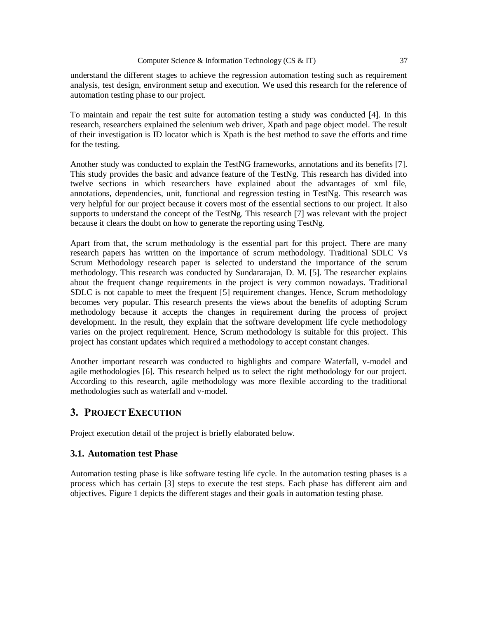understand the different stages to achieve the regression automation testing such as requirement analysis, test design, environment setup and execution. We used this research for the reference of automation testing phase to our project.

To maintain and repair the test suite for automation testing a study was conducted [4]. In this research, researchers explained the selenium web driver, Xpath and page object model. The result of their investigation is ID locator which is Xpath is the best method to save the efforts and time for the testing.

Another study was conducted to explain the TestNG frameworks, annotations and its benefits [7]. This study provides the basic and advance feature of the TestNg. This research has divided into twelve sections in which researchers have explained about the advantages of xml file, annotations, dependencies, unit, functional and regression testing in TestNg. This research was very helpful for our project because it covers most of the essential sections to our project. It also supports to understand the concept of the TestNg. This research [7] was relevant with the project because it clears the doubt on how to generate the reporting using TestNg.

Apart from that, the scrum methodology is the essential part for this project. There are many research papers has written on the importance of scrum methodology. Traditional SDLC Vs Scrum Methodology research paper is selected to understand the importance of the scrum methodology. This research was conducted by Sundararajan, D. M. [5]. The researcher explains about the frequent change requirements in the project is very common nowadays. Traditional SDLC is not capable to meet the frequent [5] requirement changes. Hence, Scrum methodology becomes very popular. This research presents the views about the benefits of adopting Scrum methodology because it accepts the changes in requirement during the process of project development. In the result, they explain that the software development life cycle methodology varies on the project requirement. Hence, Scrum methodology is suitable for this project. This project has constant updates which required a methodology to accept constant changes.

Another important research was conducted to highlights and compare Waterfall, v-model and agile methodologies [6]. This research helped us to select the right methodology for our project. According to this research, agile methodology was more flexible according to the traditional methodologies such as waterfall and v-model.

# **3. PROJECT EXECUTION**

Project execution detail of the project is briefly elaborated below.

### **3.1. Automation test Phase**

Automation testing phase is like software testing life cycle. In the automation testing phases is a process which has certain [3] steps to execute the test steps. Each phase has different aim and objectives. Figure 1 depicts the different stages and their goals in automation testing phase.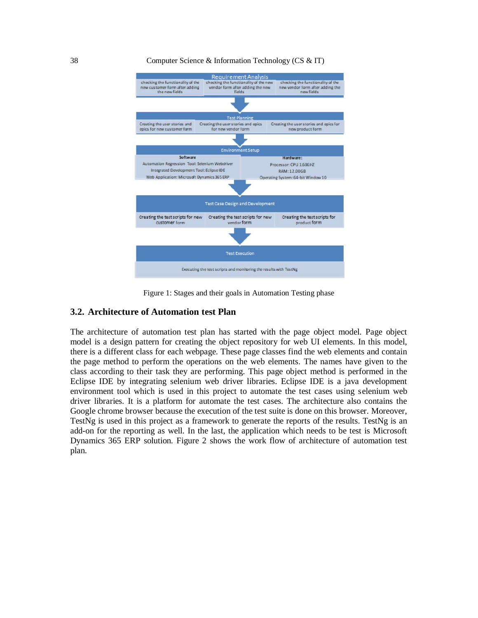#### 38 Computer Science & Information Technology (CS & IT)



Figure 1: Stages and their goals in Automation Testing phase

#### **3.2. Architecture of Automation test Plan**

The architecture of automation test plan has started with the page object model. Page object model is a design pattern for creating the object repository for web UI elements. In this model, there is a different class for each webpage. These page classes find the web elements and contain the page method to perform the operations on the web elements. The names have given to the class according to their task they are performing. This page object method is performed in the Eclipse IDE by integrating selenium web driver libraries. Eclipse IDE is a java development environment tool which is used in this project to automate the test cases using selenium web driver libraries. It is a platform for automate the test cases. The architecture also contains the Google chrome browser because the execution of the test suite is done on this browser. Moreover, TestNg is used in this project as a framework to generate the reports of the results. TestNg is an add-on for the reporting as well. In the last, the application which needs to be test is Microsoft Dynamics 365 ERP solution. Figure 2 shows the work flow of architecture of automation test plan.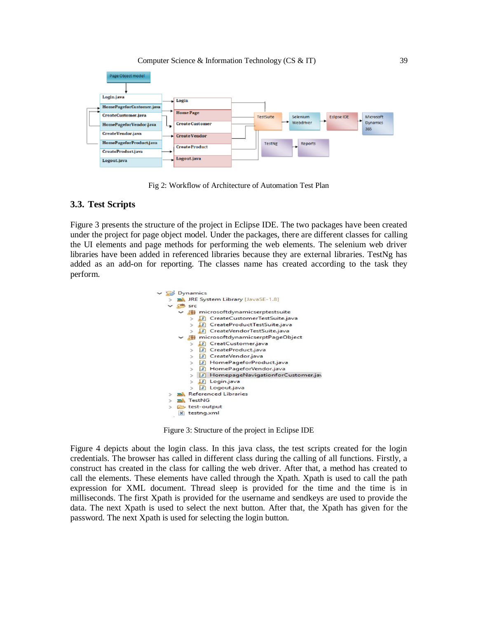

Fig 2: Workflow of Architecture of Automation Test Plan

#### **3.3. Test Scripts**

Figure 3 presents the structure of the project in Eclipse IDE. The two packages have been created under the project for page object model. Under the packages, there are different classes for calling the UI elements and page methods for performing the web elements. The selenium web driver libraries have been added in referenced libraries because they are external libraries. TestNg has added as an add-on for reporting. The classes name has created according to the task they perform.



Figure 3: Structure of the project in Eclipse IDE

Figure 4 depicts about the login class. In this java class, the test scripts created for the login credentials. The browser has called in different class during the calling of all functions. Firstly, a construct has created in the class for calling the web driver. After that, a method has created to call the elements. These elements have called through the Xpath. Xpath is used to call the path expression for XML document. Thread sleep is provided for the time and the time is in milliseconds. The first Xpath is provided for the username and sendkeys are used to provide the data. The next Xpath is used to select the next button. After that, the Xpath has given for the password. The next Xpath is used for selecting the login button.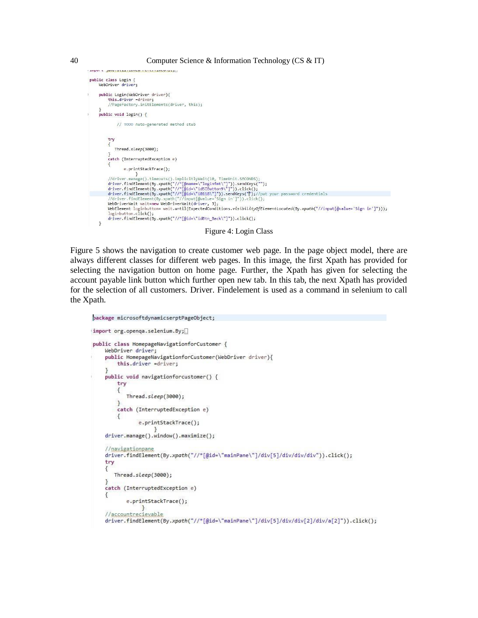```
milion e Terrer errer extrem en en en en errer en
public class Login {<br>WebDriver driver;
     public Login(WebDriver driver){
           this.driver =driver;<br>//PageFactory.initElements(driver, this);
     public void login() {
                 // TODO Auto-generated method stub
           try
           \sqrt{2}Thread.sleep(3000);
            catch (InterruptedException e)
                      e.printStackTrace();
                             \rightarrow//driver.manage().timeouts().implicitlyWait(10, TimeUnit.SECONDS);<br>driver.findElement(By.xpath("//"[@name-\"loginfmt\"]")).sendKeys("");<br>driver.findElement(By.xpath("//"[@id=\"id5IButton9\"]")).eiend(y");<br>driver.findElemen
           WebDriverWait wait=new WebDriverWait(driver, 3);<br>WebElement loginbutton= wait.until(ExpectedConditions.visibilityOfElementLocated(By.xpath("//input[@value='Sign in']")));
            lopinbutton.click():driver.findElement(By.xpath("//*[@id=\"idBtn_Back\"]")).click();
     \overline{\mathbf{3}}
```
Figure 4: Login Class

Figure 5 shows the navigation to create customer web page. In the page object model, there are always different classes for different web pages. In this image, the first Xpath has provided for selecting the navigation button on home page. Further, the Xpath has given for selecting the account payable link button which further open new tab. In this tab, the next Xpath has provided for the selection of all customers. Driver. Findelement is used as a command in selenium to call the Xpath.

```
package microsoftdynamicserptPageObject;
import org.openqa.selenium.By;
public class HomepageNavigationforCustomer {
    WebDriver driver;
    public HomepageNavigationforCustomer(WebDriver driver){
        this.driver =driver;
    \mathbf{R}public void navigationforcustomer() {
        try
        \{Thread.sleep(3000);
        ł
        catch (InterruptedException e)
        \{e.printStackTrace();
    driver.manage().window().maximize();
    //navigationpane
    driver.findElement(By.xpath("//*[@id=\"mainPane\"]/div[5]/div/div/div")).click();
    try
    €
       Thread.sleep(3000);
    }
    catch (InterruptedException e)
    £
           e.printStackTrace();
                ł
    //accountrecievable
    driver.findElement(By.xpath("//*[@id=\"mainPane\"]/div[5]/div/div[2]/div/a[2]")).click();
```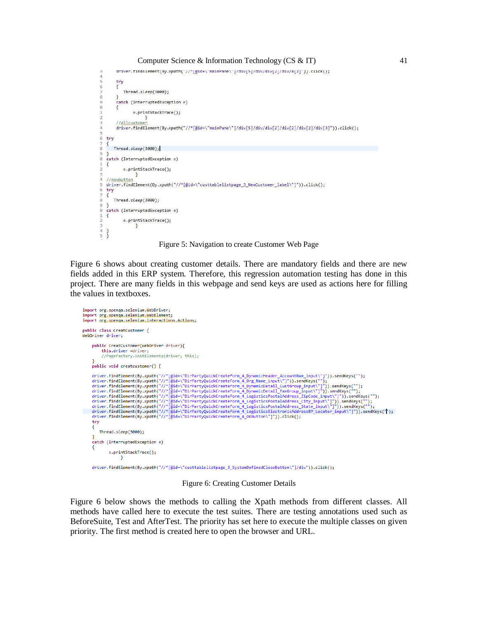```
\verb|ariver.tname|ement(by.xparn|^2/\text{[quae}]\text{[main}+ \text{[nain}+\text{[quap}]\text{[au}+\text{[auin}+\text{[auin}+\text{[auin}+\text{[auin}+\text{[auin}+\text{[auin}+\text{[auin}+\text{[auin}+\text{[auin}+\text{[auin}+\text{[auin}+\text{[auin}+\text{[auin}+\text{[auin}+\text{[auin}+\text{[auin}+\text{[auin}+\text{[auin}+\text{[auin}+\text{[auin}+\text{[auin}+\text{[auin}+\text{[auin}+\text{[auin}\frac{3}{4}\overline{5}try
            \overline{A}Thread.sleep(3000);
            catch (InterruptedException e)
            \left\{ \right.e.printStackTrace();
             //allcusto
            driver.findElement(By.xpath("//*[@id=\"mainPane\"]/div[5]/div/div[2]/div[2]/div[2]/div[3]")).click();
    try
          Thread.sleep(3000);
    \overline{ }catch (InterruptedException e)
    \mathcal{L}e.printStackTrace();
                          \rightarrow//newbutton
    driver.findElement(By.xpath("//*[@id=\"custtablelistpage_3_NewCustomer_label\"]")).click();
     try
000\left\{ \right.Thread.sleep(3000);
    ٦
     catch (InterruptedException e)
\mathbf{1}\mathcal{L}e.printStackTrace();
                          \mathcal{F}\overline{5}\overline{1}
```
Figure 5: Navigation to create Customer Web Page

Figure 6 shows about creating customer details. There are mandatory fields and there are new fields added in this ERP system. Therefore, this regression automation testing has done in this project. There are many fields in this webpage and send keys are used as actions here for filling the values in textboxes.



Figure 6: Creating Customer Details

Figure 6 below shows the methods to calling the Xpath methods from different classes. All methods have called here to execute the test suites. There are testing annotations used such as BeforeSuite, Test and AfterTest. The priority has set here to execute the multiple classes on given priority. The first method is created here to open the browser and URL.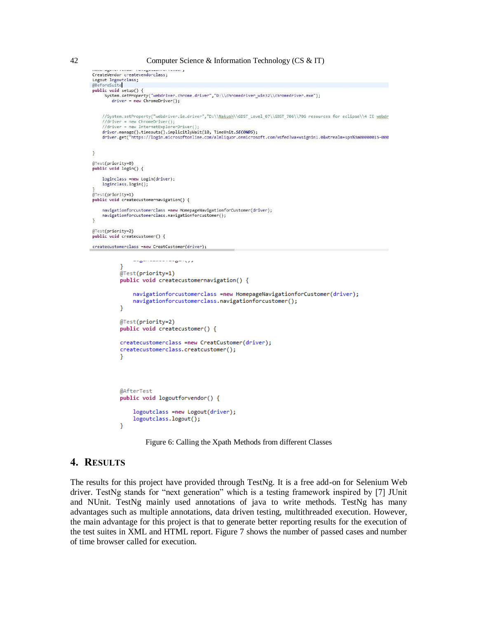```
CreateVendor createvendorclass;
Logout logoutclass;<br>@BeforeSuite
public void setup() {
     System.setProperty("webdriver.chrome.driver","D:\\chromedriver_win32\\chromedriver.exe");
        \text{driver} = \text{new} \text{ChromeDriver}();
    //System.setProperty("webdriver.ie.driver","D:\\Nakush\\GDST_Level_07\\GDST_706\\706_resources_for_eclipse\\4_IE_webdr
    //driver = new ChromeDriver();<br>//driver = new ChromeDriver();<br>//driver = new InternetExplorerDriver();
    driver.manage().timeouts().implicitlyWait(10, TimeUnit.SECONDS);
    driver.manage().timeouts().impittitlywaft(10, Timeonitlsecowos);<br>driver.get("https://login.microsoftonline.com/almliquor.onmicrosoft.com/wsfed?wa=wsignin1.0&wtrealm=spn%3a00000015-000
\mathcal{E}@Test(priority=0)
public void login() {
    loginclass =new Login(driver);
    loginclass.login();
@Test(priority=1)
public void createcustomernavigation() {
    navigationforcustomerclass =new HomepageNavigationforCustomer(driver);
    navigationforcustomerclass.navigationforcustomer();
\overline{\mathbf{a}}@Test(priority=2)
public void createcustomer() {
createcustomerclass =new CreatCustomer(driver);
                                    m = 1/2٦
            @Test(priority=1)
            public void createcustomernavigation() {
                  navigationforcustomerclass =new HomepageNavigationforCustomer(driver);
                  navigationforcustomerclass.navigationforcustomer();
            <sup>1</sup>
            @Test(priority=2)
            public void createcustomer() {
            createcustomerclass =new CreatCustomer(driver);
            createcustomerclass.creatcustomer();
            \mathcal{Y}@AfterTest
            public void logoutforvendor() {
                  logoutclass =new Logout(driver);
                  logoutclass.logout();
            P
```
Figure 6: Calling the Xpath Methods from different Classes

## **4. RESULTS**

The results for this project have provided through TestNg. It is a free add-on for Selenium Web driver. TestNg stands for "next generation" which is a testing framework inspired by [7] JUnit and NUnit. TestNg mainly used annotations of java to write methods. TestNg has many advantages such as multiple annotations, data driven testing, multithreaded execution. However, the main advantage for this project is that to generate better reporting results for the execution of the test suites in XML and HTML report. Figure 7 shows the number of passed cases and number of time browser called for execution.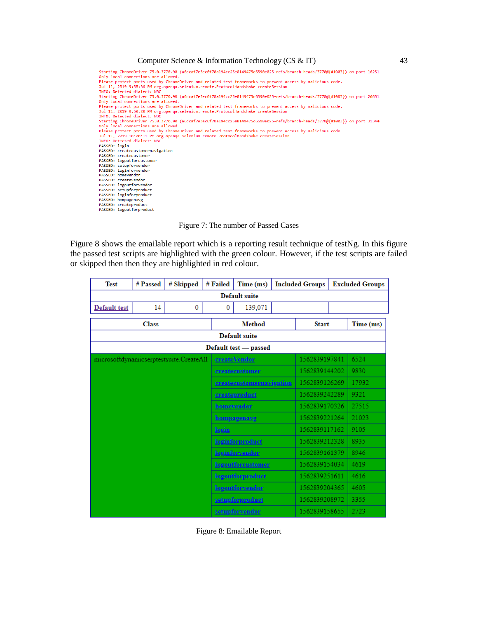Starting ChromeDriver 75.0.3770.90 (a6dcaf7e3ec6f70a194cc25e8149475c6590e025-refs/branch-heads/3770@{#1003}) on port 16251 Starting Chromeurium - 75.0.3770.90 (aGocar/esecot/0a194Cc25eo1494/5Co590e025-rets/prancn-neads/3//0@{#1003}) on port 10251<br>Please protect ports used by ChromeDriver and related test frameworks to prevent access by malicio Uniy local connections are allowed.<br>Please protect ports used by ChromeDriver and related test frameworks to prevent access by malicious code.<br>Jul 11, 2019 9:59:20 PM org.openqa.selenium.remote.ProtocolHandshake createSess INFO: Detected dialect: W3C<br>Starting ChromeDocco (1962-1963) (a6dcaf7e3ec6f70a194cc25e8149475c6590e025-refs/branch-heads/3770@{#1003}) on port 31344<br>Starting ChromeDocco (1975.0.3770.90 (a6dcaf7e3ec6f70a194cc25e8149475c659 INFO: Detected dialect: W3C The PASSED: login<br>PASSED: login<br>PASSED: createcustomernavigation<br>PASSED: createcustomer PASSED: createcustomer<br>PASSED: logoutforcustomer<br>PASSED: setupforvendor<br>PASSED: loginforvendor<br>PASSED: createVendor<br>PASSED: createVendor PASSED: createVendor<br>PASSED: logoutforvendor<br>PASSED: setupforproduct<br>PASSED: loginforproduct<br>PASSED: hompagenavg<br>PASSED: createproduct PASSED: logoutforproduct

Figure 7: The number of Passed Cases

Figure 8 shows the emailable report which is a reporting result technique of testNg. In this figure the passed test scripts are highlighted with the green colour. However, if the test scripts are failed or skipped then then they are highlighted in red colour.

| <b>Test</b>                             | # Passed | # Skipped    | # Failed     | Time (ms)                | <b>Included Groups</b> |               | <b>Excluded Groups</b> |      |
|-----------------------------------------|----------|--------------|--------------|--------------------------|------------------------|---------------|------------------------|------|
| <b>Default suite</b>                    |          |              |              |                          |                        |               |                        |      |
| Default test                            | 14       | $\mathbf{0}$ | $\mathbf{0}$ | 139,071                  |                        |               |                        |      |
| <b>Class</b>                            |          |              |              | <b>Method</b>            |                        |               | <b>Start</b>           |      |
| Default suite                           |          |              |              |                          |                        |               |                        |      |
| Default test - passed                   |          |              |              |                          |                        |               |                        |      |
| microsoftdynamicserptestsuite.CreateAll |          |              |              | <b>createVendor</b>      |                        |               | 1562839197841          |      |
|                                         |          |              |              | createcustomer           |                        |               | 1562839144202          |      |
|                                         |          |              |              | createcustomernavigation |                        |               | 1562839126269          |      |
|                                         |          |              |              | createproduct            |                        |               | 1562839242289          |      |
|                                         |          |              |              | homevendor               | 1562839170326          |               | 27515                  |      |
|                                         |          |              |              | hompagenavg              |                        |               | 1562839221264          |      |
|                                         |          |              | login        |                          |                        | 1562839117162 |                        | 9105 |
|                                         |          |              |              | loginforproduct          |                        | 1562839212328 |                        | 8935 |
|                                         |          |              |              | <b>loginforvendor</b>    |                        | 1562839161379 |                        | 8946 |
|                                         |          |              |              | <b>logoutforcustomer</b> |                        | 1562839154034 |                        | 4619 |
|                                         |          |              |              | logoutforproduct         |                        | 1562839251611 |                        | 4616 |
|                                         |          |              |              | logoutforvendor          |                        | 1562839204365 |                        | 4605 |
|                                         |          |              |              | setupforproduct          |                        | 1562839208972 |                        | 3355 |
|                                         |          |              |              | setupforvendor           |                        | 1562839158655 |                        | 2723 |

Figure 8: Emailable Report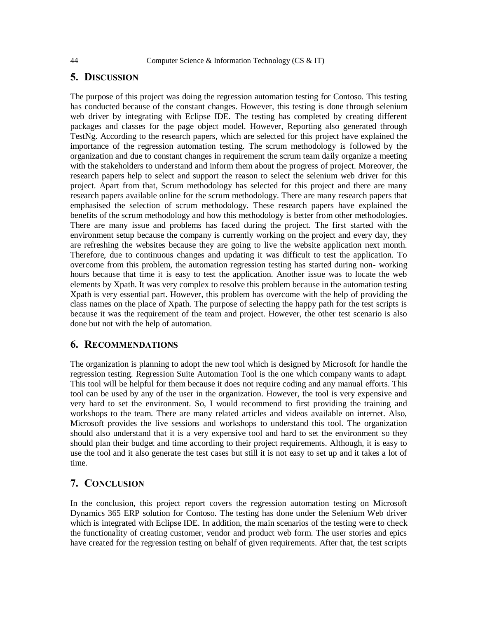# **5. DISCUSSION**

The purpose of this project was doing the regression automation testing for Contoso. This testing has conducted because of the constant changes. However, this testing is done through selenium web driver by integrating with Eclipse IDE. The testing has completed by creating different packages and classes for the page object model. However, Reporting also generated through TestNg. According to the research papers, which are selected for this project have explained the importance of the regression automation testing. The scrum methodology is followed by the organization and due to constant changes in requirement the scrum team daily organize a meeting with the stakeholders to understand and inform them about the progress of project. Moreover, the research papers help to select and support the reason to select the selenium web driver for this project. Apart from that, Scrum methodology has selected for this project and there are many research papers available online for the scrum methodology. There are many research papers that emphasised the selection of scrum methodology. These research papers have explained the benefits of the scrum methodology and how this methodology is better from other methodologies. There are many issue and problems has faced during the project. The first started with the environment setup because the company is currently working on the project and every day, they are refreshing the websites because they are going to live the website application next month. Therefore, due to continuous changes and updating it was difficult to test the application. To overcome from this problem, the automation regression testing has started during non- working hours because that time it is easy to test the application. Another issue was to locate the web elements by Xpath. It was very complex to resolve this problem because in the automation testing Xpath is very essential part. However, this problem has overcome with the help of providing the class names on the place of Xpath. The purpose of selecting the happy path for the test scripts is because it was the requirement of the team and project. However, the other test scenario is also done but not with the help of automation.

# **6. RECOMMENDATIONS**

The organization is planning to adopt the new tool which is designed by Microsoft for handle the regression testing. Regression Suite Automation Tool is the one which company wants to adapt. This tool will be helpful for them because it does not require coding and any manual efforts. This tool can be used by any of the user in the organization. However, the tool is very expensive and very hard to set the environment. So, I would recommend to first providing the training and workshops to the team. There are many related articles and videos available on internet. Also, Microsoft provides the live sessions and workshops to understand this tool. The organization should also understand that it is a very expensive tool and hard to set the environment so they should plan their budget and time according to their project requirements. Although, it is easy to use the tool and it also generate the test cases but still it is not easy to set up and it takes a lot of time.

# **7. CONCLUSION**

In the conclusion, this project report covers the regression automation testing on Microsoft Dynamics 365 ERP solution for Contoso. The testing has done under the Selenium Web driver which is integrated with Eclipse IDE. In addition, the main scenarios of the testing were to check the functionality of creating customer, vendor and product web form. The user stories and epics have created for the regression testing on behalf of given requirements. After that, the test scripts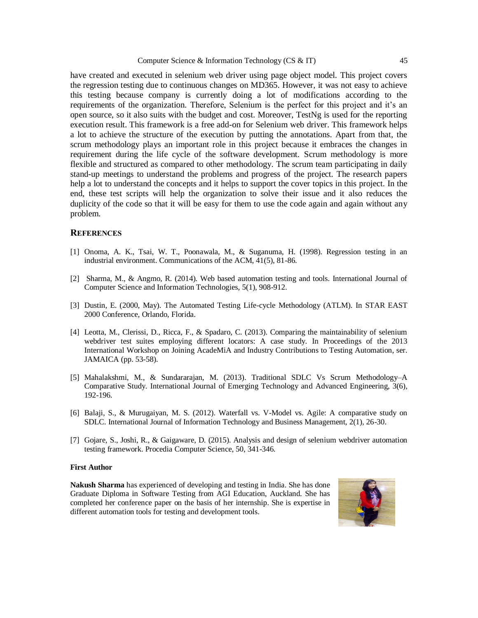have created and executed in selenium web driver using page object model. This project covers the regression testing due to continuous changes on MD365. However, it was not easy to achieve this testing because company is currently doing a lot of modifications according to the requirements of the organization. Therefore, Selenium is the perfect for this project and it's an open source, so it also suits with the budget and cost. Moreover, TestNg is used for the reporting execution result. This framework is a free add-on for Selenium web driver. This framework helps a lot to achieve the structure of the execution by putting the annotations. Apart from that, the scrum methodology plays an important role in this project because it embraces the changes in requirement during the life cycle of the software development. Scrum methodology is more flexible and structured as compared to other methodology. The scrum team participating in daily stand-up meetings to understand the problems and progress of the project. The research papers help a lot to understand the concepts and it helps to support the cover topics in this project. In the end, these test scripts will help the organization to solve their issue and it also reduces the duplicity of the code so that it will be easy for them to use the code again and again without any problem.

#### **REFERENCES**

- [1] Onoma, A. K., Tsai, W. T., Poonawala, M., & Suganuma, H. (1998). Regression testing in an industrial environment. Communications of the ACM, 41(5), 81-86.
- [2] Sharma, M., & Angmo, R. (2014). Web based automation testing and tools. International Journal of Computer Science and Information Technologies, 5(1), 908-912.
- [3] Dustin, E. (2000, May). The Automated Testing Life-cycle Methodology (ATLM). In STAR EAST 2000 Conference, Orlando, Florida.
- [4] Leotta, M., Clerissi, D., Ricca, F., & Spadaro, C. (2013). Comparing the maintainability of selenium webdriver test suites employing different locators: A case study. In Proceedings of the 2013 International Workshop on Joining AcadeMiA and Industry Contributions to Testing Automation, ser. JAMAICA (pp. 53-58).
- [5] Mahalakshmi, M., & Sundararajan, M. (2013). Traditional SDLC Vs Scrum Methodology–A Comparative Study. International Journal of Emerging Technology and Advanced Engineering, 3(6), 192-196.
- [6] Balaji, S., & Murugaiyan, M. S. (2012). Waterfall vs. V-Model vs. Agile: A comparative study on SDLC. International Journal of Information Technology and Business Management, 2(1), 26-30.
- [7] Gojare, S., Joshi, R., & Gaigaware, D. (2015). Analysis and design of selenium webdriver automation testing framework. Procedia Computer Science, 50, 341-346.

#### **First Author**

**Nakush Sharma** has experienced of developing and testing in India. She has done Graduate Diploma in Software Testing from AGI Education, Auckland. She has completed her conference paper on the basis of her internship. She is expertise in different automation tools for testing and development tools.